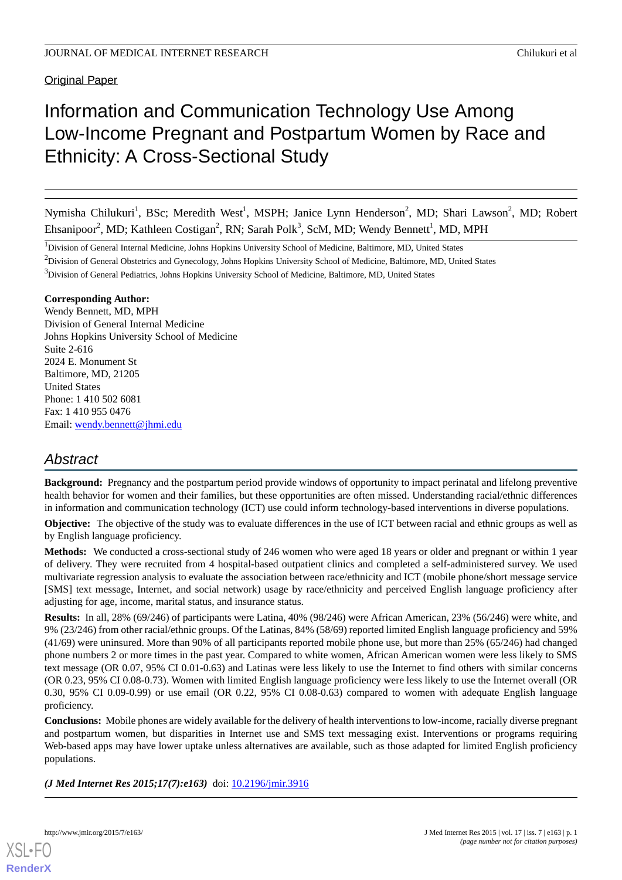**Original Paper** 

# Information and Communication Technology Use Among Low-Income Pregnant and Postpartum Women by Race and Ethnicity: A Cross-Sectional Study

Nymisha Chilukuri<sup>1</sup>, BSc; Meredith West<sup>1</sup>, MSPH; Janice Lynn Henderson<sup>2</sup>, MD; Shari Lawson<sup>2</sup>, MD; Robert Ehsanipoor<sup>2</sup>, MD; Kathleen Costigan<sup>2</sup>, RN; Sarah Polk<sup>3</sup>, ScM, MD; Wendy Bennett<sup>1</sup>, MD, MPH

<sup>1</sup>Division of General Internal Medicine, Johns Hopkins University School of Medicine, Baltimore, MD, United States

<sup>2</sup>Division of General Obstetrics and Gynecology, Johns Hopkins University School of Medicine, Baltimore, MD, United States

<sup>3</sup>Division of General Pediatrics, Johns Hopkins University School of Medicine, Baltimore, MD, United States

#### **Corresponding Author:**

Wendy Bennett, MD, MPH Division of General Internal Medicine Johns Hopkins University School of Medicine Suite 2-616 2024 E. Monument St Baltimore, MD, 21205 United States Phone: 1 410 502 6081 Fax: 1 410 955 0476 Email: [wendy.bennett@jhmi.edu](mailto:wendy.bennett@jhmi.edu)

# *Abstract*

**Background:** Pregnancy and the postpartum period provide windows of opportunity to impact perinatal and lifelong preventive health behavior for women and their families, but these opportunities are often missed. Understanding racial/ethnic differences in information and communication technology (ICT) use could inform technology-based interventions in diverse populations.

**Objective:** The objective of the study was to evaluate differences in the use of ICT between racial and ethnic groups as well as by English language proficiency.

**Methods:** We conducted a cross-sectional study of 246 women who were aged 18 years or older and pregnant or within 1 year of delivery. They were recruited from 4 hospital-based outpatient clinics and completed a self-administered survey. We used multivariate regression analysis to evaluate the association between race/ethnicity and ICT (mobile phone/short message service [SMS] text message, Internet, and social network) usage by race/ethnicity and perceived English language proficiency after adjusting for age, income, marital status, and insurance status.

**Results:** In all, 28% (69/246) of participants were Latina, 40% (98/246) were African American, 23% (56/246) were white, and 9% (23/246) from other racial/ethnic groups. Of the Latinas, 84% (58/69) reported limited English language proficiency and 59% (41/69) were uninsured. More than 90% of all participants reported mobile phone use, but more than 25% (65/246) had changed phone numbers 2 or more times in the past year. Compared to white women, African American women were less likely to SMS text message (OR 0.07, 95% CI 0.01-0.63) and Latinas were less likely to use the Internet to find others with similar concerns (OR 0.23, 95% CI 0.08-0.73). Women with limited English language proficiency were less likely to use the Internet overall (OR 0.30, 95% CI 0.09-0.99) or use email (OR 0.22, 95% CI 0.08-0.63) compared to women with adequate English language proficiency.

**Conclusions:** Mobile phones are widely available for the delivery of health interventions to low-income, racially diverse pregnant and postpartum women, but disparities in Internet use and SMS text messaging exist. Interventions or programs requiring Web-based apps may have lower uptake unless alternatives are available, such as those adapted for limited English proficiency populations.

*(J Med Internet Res 2015;17(7):e163)* doi:  $10.2196/$ jmir.3916

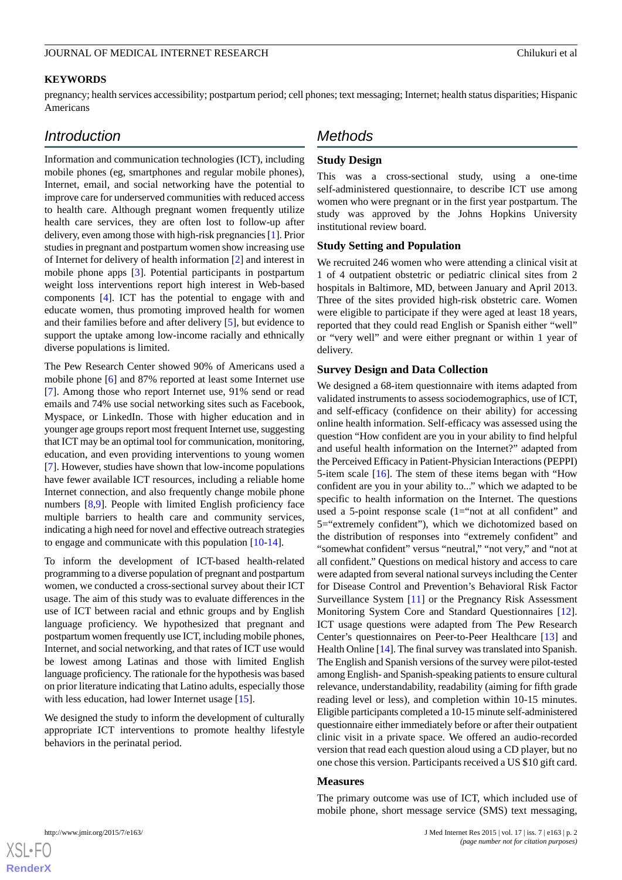#### **KEYWORDS**

pregnancy; health services accessibility; postpartum period; cell phones; text messaging; Internet; health status disparities; Hispanic Americans

# *Introduction*

Information and communication technologies (ICT), including mobile phones (eg, smartphones and regular mobile phones), Internet, email, and social networking have the potential to improve care for underserved communities with reduced access to health care. Although pregnant women frequently utilize health care services, they are often lost to follow-up after delivery, even among those with high-risk pregnancies [\[1](#page-7-0)]. Prior studies in pregnant and postpartum women show increasing use of Internet for delivery of health information [[2\]](#page-7-1) and interest in mobile phone apps [\[3](#page-7-2)]. Potential participants in postpartum weight loss interventions report high interest in Web-based components [[4\]](#page-7-3). ICT has the potential to engage with and educate women, thus promoting improved health for women and their families before and after delivery [\[5](#page-7-4)], but evidence to support the uptake among low-income racially and ethnically diverse populations is limited.

The Pew Research Center showed 90% of Americans used a mobile phone [[6\]](#page-7-5) and 87% reported at least some Internet use [[7\]](#page-7-6). Among those who report Internet use, 91% send or read emails and 74% use social networking sites such as Facebook, Myspace, or LinkedIn. Those with higher education and in younger age groups report most frequent Internet use, suggesting that ICT may be an optimal tool for communication, monitoring, education, and even providing interventions to young women [[7\]](#page-7-6). However, studies have shown that low-income populations have fewer available ICT resources, including a reliable home Internet connection, and also frequently change mobile phone numbers [\[8](#page-7-7),[9\]](#page-7-8). People with limited English proficiency face multiple barriers to health care and community services, indicating a high need for novel and effective outreach strategies to engage and communicate with this population [[10-](#page-7-9)[14](#page-7-10)].

To inform the development of ICT-based health-related programming to a diverse population of pregnant and postpartum women, we conducted a cross-sectional survey about their ICT usage. The aim of this study was to evaluate differences in the use of ICT between racial and ethnic groups and by English language proficiency. We hypothesized that pregnant and postpartum women frequently use ICT, including mobile phones, Internet, and social networking, and that rates of ICT use would be lowest among Latinas and those with limited English language proficiency. The rationale for the hypothesis was based on prior literature indicating that Latino adults, especially those with less education, had lower Internet usage [\[15](#page-7-11)].

We designed the study to inform the development of culturally appropriate ICT interventions to promote healthy lifestyle behaviors in the perinatal period.

# *Methods*

#### **Study Design**

This was a cross-sectional study, using a one-time self-administered questionnaire, to describe ICT use among women who were pregnant or in the first year postpartum. The study was approved by the Johns Hopkins University institutional review board.

#### **Study Setting and Population**

We recruited 246 women who were attending a clinical visit at 1 of 4 outpatient obstetric or pediatric clinical sites from 2 hospitals in Baltimore, MD, between January and April 2013. Three of the sites provided high-risk obstetric care. Women were eligible to participate if they were aged at least 18 years, reported that they could read English or Spanish either "well" or "very well" and were either pregnant or within 1 year of delivery.

#### **Survey Design and Data Collection**

We designed a 68-item questionnaire with items adapted from validated instruments to assess sociodemographics, use of ICT, and self-efficacy (confidence on their ability) for accessing online health information. Self-efficacy was assessed using the question "How confident are you in your ability to find helpful and useful health information on the Internet?" adapted from the Perceived Efficacy in Patient-Physician Interactions (PEPPI) 5-item scale [[16\]](#page-7-12). The stem of these items began with "How confident are you in your ability to..." which we adapted to be specific to health information on the Internet. The questions used a 5-point response scale (1="not at all confident" and 5="extremely confident"), which we dichotomized based on the distribution of responses into "extremely confident" and "somewhat confident" versus "neutral," "not very," and "not at all confident." Questions on medical history and access to care were adapted from several national surveys including the Center for Disease Control and Prevention's Behavioral Risk Factor Surveillance System [\[11](#page-7-13)] or the Pregnancy Risk Assessment Monitoring System Core and Standard Questionnaires [[12\]](#page-7-14). ICT usage questions were adapted from The Pew Research Center's questionnaires on Peer-to-Peer Healthcare [\[13](#page-7-15)] and Health Online [\[14](#page-7-10)]. The final survey was translated into Spanish. The English and Spanish versions of the survey were pilot-tested among English- and Spanish-speaking patients to ensure cultural relevance, understandability, readability (aiming for fifth grade reading level or less), and completion within 10-15 minutes. Eligible participants completed a 10-15 minute self-administered questionnaire either immediately before or after their outpatient clinic visit in a private space. We offered an audio-recorded version that read each question aloud using a CD player, but no one chose this version. Participants received a US \$10 gift card.

#### **Measures**

The primary outcome was use of ICT, which included use of mobile phone, short message service (SMS) text messaging,

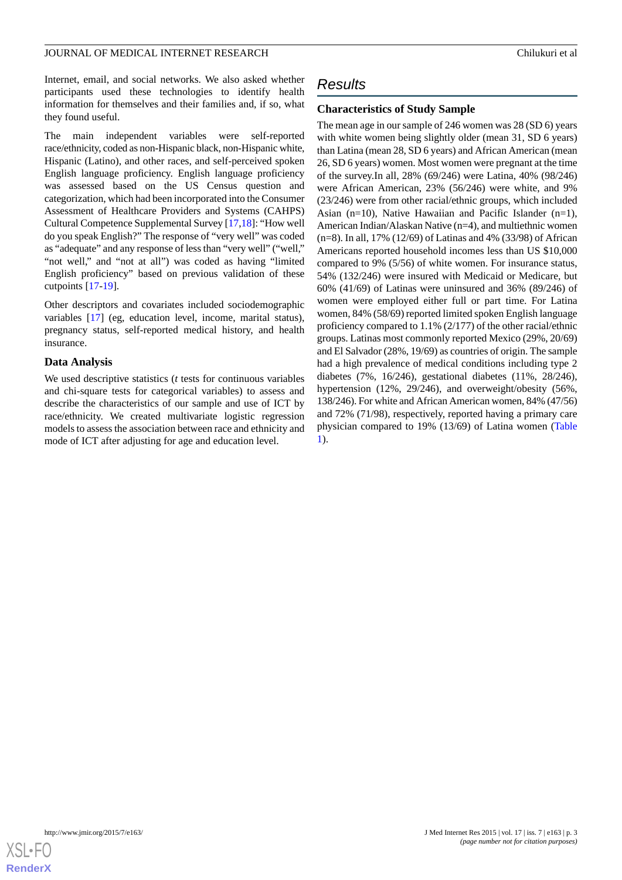Internet, email, and social networks. We also asked whether participants used these technologies to identify health information for themselves and their families and, if so, what they found useful.

The main independent variables were self-reported race/ethnicity, coded as non-Hispanic black, non-Hispanic white, Hispanic (Latino), and other races, and self-perceived spoken English language proficiency. English language proficiency was assessed based on the US Census question and categorization, which had been incorporated into the Consumer Assessment of Healthcare Providers and Systems (CAHPS) Cultural Competence Supplemental Survey [[17,](#page-7-16)[18](#page-8-0)]: "How well do you speak English?" The response of "very well" was coded as "adequate" and any response of less than "very well" ("well," "not well," and "not at all") was coded as having "limited English proficiency" based on previous validation of these cutpoints [\[17](#page-7-16)[-19](#page-8-1)].

Other descriptors and covariates included sociodemographic variables [\[17](#page-7-16)] (eg, education level, income, marital status), pregnancy status, self-reported medical history, and health insurance.

#### **Data Analysis**

We used descriptive statistics (*t* tests for continuous variables and chi-square tests for categorical variables) to assess and describe the characteristics of our sample and use of ICT by race/ethnicity. We created multivariate logistic regression models to assess the association between race and ethnicity and mode of ICT after adjusting for age and education level.

# *Results*

#### **Characteristics of Study Sample**

The mean age in our sample of 246 women was 28 (SD 6) years with white women being slightly older (mean 31, SD 6 years) than Latina (mean 28, SD 6 years) and African American (mean 26, SD 6 years) women. Most women were pregnant at the time of the survey.In all, 28% (69/246) were Latina, 40% (98/246) were African American, 23% (56/246) were white, and 9% (23/246) were from other racial/ethnic groups, which included Asian (n=10), Native Hawaiian and Pacific Islander (n=1), American Indian/Alaskan Native (n=4), and multiethnic women (n=8). In all, 17% (12/69) of Latinas and 4% (33/98) of African Americans reported household incomes less than US \$10,000 compared to 9% (5/56) of white women. For insurance status, 54% (132/246) were insured with Medicaid or Medicare, but 60% (41/69) of Latinas were uninsured and 36% (89/246) of women were employed either full or part time. For Latina women, 84% (58/69) reported limited spoken English language proficiency compared to 1.1% (2/177) of the other racial/ethnic groups. Latinas most commonly reported Mexico (29%, 20/69) and El Salvador (28%, 19/69) as countries of origin. The sample had a high prevalence of medical conditions including type 2 diabetes (7%, 16/246), gestational diabetes (11%, 28/246), hypertension (12%, 29/246), and overweight/obesity (56%, 138/246). For white and African American women, 84% (47/56) and 72% (71/98), respectively, reported having a primary care physician compared to 19% (13/69) of Latina women ([Table](#page-3-0) [1\)](#page-3-0).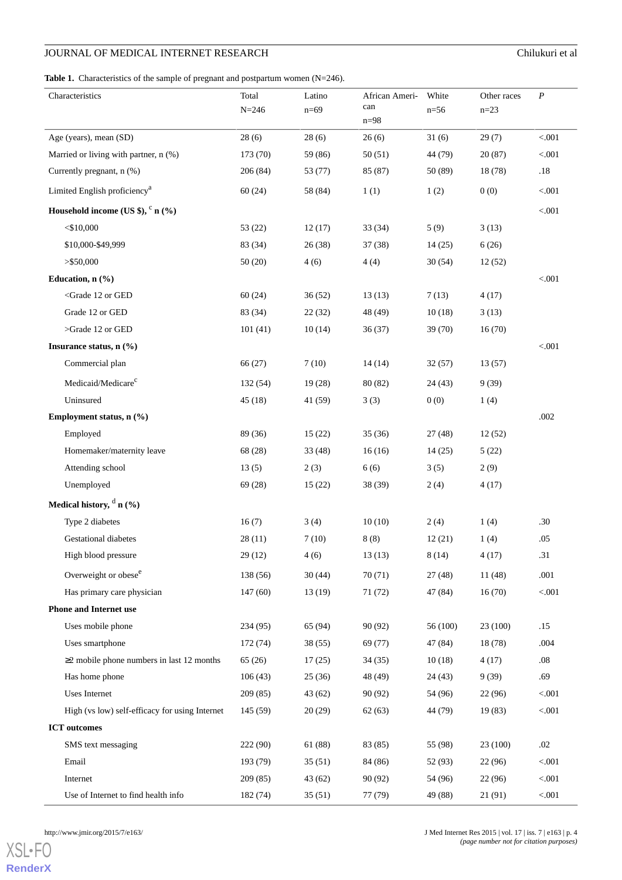<span id="page-3-0"></span>Table 1. Characteristics of the sample of pregnant and postpartum women (N=246).

| Characteristics                                                                                                             | Total<br>$N = 246$ | Latino<br>$n=69$ | African Ameri-<br>can<br>$n=98$ | White<br>$n=56$ | Other races<br>$n=23$ | $\boldsymbol{P}$ |
|-----------------------------------------------------------------------------------------------------------------------------|--------------------|------------------|---------------------------------|-----------------|-----------------------|------------------|
| Age (years), mean (SD)                                                                                                      | 28(6)              | 28(6)            | 26(6)                           | 31(6)           | 29(7)                 | < 0.001          |
| Married or living with partner, n (%)                                                                                       | 173 (70)           | 59 (86)          | 50(51)                          | 44 (79)         | 20(87)                | < .001           |
| Currently pregnant, n (%)                                                                                                   | 206(84)            | 53 (77)          | 85 (87)                         | 50 (89)         | 18 (78)               | .18              |
| Limited English proficiency <sup>a</sup>                                                                                    | 60(24)             | 58 (84)          | 1(1)                            | 1(2)            | 0(0)                  | < .001           |
| Household income (US \$), $c$ n (%)                                                                                         |                    |                  |                                 |                 |                       | < 0.001          |
| $<$ \$10,000                                                                                                                | 53 (22)            | 12(17)           | 33(34)                          | 5(9)            | 3(13)                 |                  |
| \$10,000-\$49,999                                                                                                           | 83 (34)            | 26(38)           | 37(38)                          | 14(25)          | 6(26)                 |                  |
| $>$ \$50,000                                                                                                                | 50(20)             | 4(6)             | 4(4)                            | 30(54)          | 12(52)                |                  |
| Education, $n$ (%)                                                                                                          |                    |                  |                                 |                 |                       | < 0.001          |
| <grade 12="" ged<="" or="" td=""><td>60(24)</td><td>36(52)</td><td>13(13)</td><td>7(13)</td><td>4(17)</td><td></td></grade> | 60(24)             | 36(52)           | 13(13)                          | 7(13)           | 4(17)                 |                  |
| Grade 12 or GED                                                                                                             | 83 (34)            | 22(32)           | 48 (49)                         | 10(18)          | 3(13)                 |                  |
| >Grade 12 or GED                                                                                                            | 101(41)            | 10(14)           | 36(37)                          | 39(70)          | 16(70)                |                  |
| Insurance status, $n$ (%)                                                                                                   |                    |                  |                                 |                 |                       | < 0.001          |
| Commercial plan                                                                                                             | 66(27)             | 7(10)            | 14(14)                          | 32(57)          | 13(57)                |                  |
| Medicaid/Medicare <sup>c</sup>                                                                                              | 132 (54)           | 19(28)           | 80 (82)                         | 24(43)          | 9(39)                 |                  |
| Uninsured                                                                                                                   | 45(18)             | 41(59)           | 3(3)                            | 0(0)            | 1(4)                  |                  |
| Employment status, n (%)                                                                                                    |                    |                  |                                 |                 |                       | .002             |
| Employed                                                                                                                    | 89 (36)            | 15(22)           | 35(36)                          | 27(48)          | 12(52)                |                  |
| Homemaker/maternity leave                                                                                                   | 68 (28)            | 33(48)           | 16(16)                          | 14(25)          | 5(22)                 |                  |
| Attending school                                                                                                            | 13(5)              | 2(3)             | 6(6)                            | 3(5)            | 2(9)                  |                  |
| Unemployed                                                                                                                  | 69 (28)            | 15(22)           | 38 (39)                         | 2(4)            | 4(17)                 |                  |
| Medical history, $\mathbf{d}$ n (%)                                                                                         |                    |                  |                                 |                 |                       |                  |
| Type 2 diabetes                                                                                                             | 16(7)              | 3(4)             | 10(10)                          | 2(4)            | 1(4)                  | .30              |
| Gestational diabetes                                                                                                        | 28(11)             | 7(10)            | 8(8)                            | 12(21)          | 1(4)                  | .05              |
| High blood pressure                                                                                                         | 29 (12)            | 4(6)             | 13(13)                          | 8(14)           | 4(17)                 | .31              |
| Overweight or obese <sup>e</sup>                                                                                            | 138 (56)           | 30(44)           | 70(71)                          | 27(48)          | 11 (48)               | .001             |
| Has primary care physician                                                                                                  | 147(60)            | 13(19)           | 71 (72)                         | 47 (84)         | 16(70)                | < 0.001          |
| <b>Phone and Internet use</b>                                                                                               |                    |                  |                                 |                 |                       |                  |
| Uses mobile phone                                                                                                           | 234 (95)           | 65 (94)          | 90 (92)                         | 56 (100)        | 23 (100)              | .15              |
| Uses smartphone                                                                                                             | 172 (74)           | 38(55)           | 69 (77)                         | 47 (84)         | 18 (78)               | .004             |
| $\geq$ 2 mobile phone numbers in last 12 months                                                                             | 65(26)             | 17(25)           | 34(35)                          | 10(18)          | 4(17)                 | .08              |
| Has home phone                                                                                                              | 106(43)            | 25(36)           | 48 (49)                         | 24(43)          | 9(39)                 | .69              |
| Uses Internet                                                                                                               | 209 (85)           | 43(62)           | 90 (92)                         | 54 (96)         | 22 (96)               | < .001           |
| High (vs low) self-efficacy for using Internet                                                                              | 145(59)            | 20(29)           | 62(63)                          | 44 (79)         | 19(83)                | < 0.001          |
| <b>ICT</b> outcomes                                                                                                         |                    |                  |                                 |                 |                       |                  |
| SMS text messaging                                                                                                          | 222 (90)           | 61 (88)          | 83 (85)                         | 55 (98)         | 23 (100)              | .02              |
| Email                                                                                                                       | 193 (79)           | 35(51)           | 84 (86)                         | 52 (93)         | 22(96)                | < .001           |
| Internet                                                                                                                    | 209(85)            | 43 (62)          | 90 (92)                         | 54 (96)         | 22(96)                | < 0.001          |
| Use of Internet to find health info                                                                                         | 182 (74)           | 35(51)           | 77 (79)                         | 49 (88)         | 21 (91)               | $< 001$          |

[XSL](http://www.w3.org/Style/XSL)•FO **[RenderX](http://www.renderx.com/)**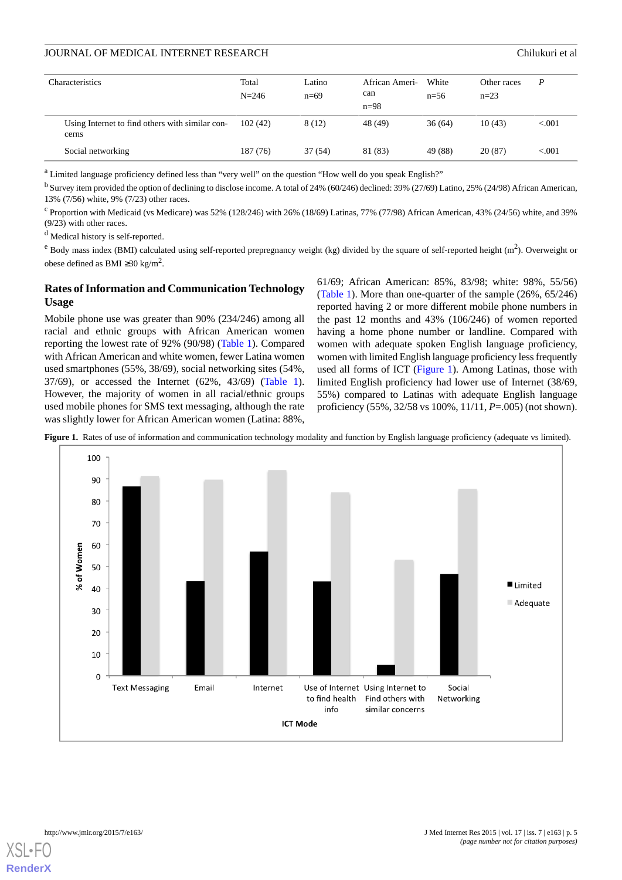| Characteristics                                          | Total<br>$N = 246$ | Latino<br>$n=69$ | African Ameri-<br>can<br>$n=98$ | White<br>$n=56$ | Other races<br>$n=23$ | P        |
|----------------------------------------------------------|--------------------|------------------|---------------------------------|-----------------|-----------------------|----------|
| Using Internet to find others with similar con-<br>cerns | 102(42)            | 8(12)            | 48 (49)                         | 36(64)          | 10(43)                | ${<}001$ |
| Social networking                                        | 187 (76)           | 37 (54)          | 81 (83)                         | 49 (88)         | 20(87)                | ${<}001$ |

<sup>a</sup> Limited language proficiency defined less than "very well" on the question "How well do you speak English?"

<sup>b</sup> Survey item provided the option of declining to disclose income. A total of 24% (60/246) declined: 39% (27/69) Latino, 25% (24/98) African American, 13% (7/56) white, 9% (7/23) other races.

 $c$  Proportion with Medicaid (vs Medicare) was 52% (128/246) with 26% (18/69) Latinas, 77% (77/98) African American, 43% (24/56) white, and 39% (9/23) with other races.

<sup>d</sup> Medical history is self-reported.

 $e$  Body mass index (BMI) calculated using self-reported prepregnancy weight (kg) divided by the square of self-reported height  $(m^2)$ . Overweight or obese defined as BMI ≥30 kg/m<sup>2</sup>.

#### **Rates of Information and Communication Technology Usage**

Mobile phone use was greater than 90% (234/246) among all racial and ethnic groups with African American women reporting the lowest rate of 92% (90/98) ([Table 1](#page-3-0)). Compared with African American and white women, fewer Latina women used smartphones (55%, 38/69), social networking sites (54%, 37/69), or accessed the Internet (62%, 43/69) ([Table 1\)](#page-3-0). However, the majority of women in all racial/ethnic groups used mobile phones for SMS text messaging, although the rate was slightly lower for African American women (Latina: 88%,

61/69; African American: 85%, 83/98; white: 98%, 55/56) ([Table 1\)](#page-3-0). More than one-quarter of the sample (26%, 65/246) reported having 2 or more different mobile phone numbers in the past 12 months and 43% (106/246) of women reported having a home phone number or landline. Compared with women with adequate spoken English language proficiency, women with limited English language proficiency less frequently used all forms of ICT [\(Figure 1](#page-4-0)). Among Latinas, those with limited English proficiency had lower use of Internet (38/69, 55%) compared to Latinas with adequate English language proficiency (55%, 32/58 vs 100%, 11/11, *P*=.005) (not shown).

<span id="page-4-0"></span>



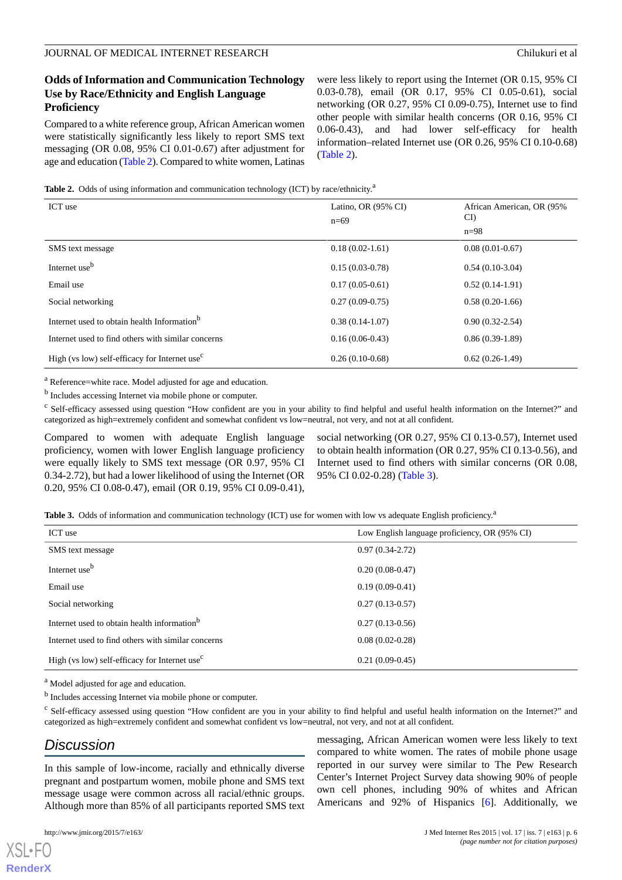### **Odds of Information and Communication Technology Use by Race/Ethnicity and English Language Proficiency**

Compared to a white reference group, African American women were statistically significantly less likely to report SMS text messaging (OR 0.08, 95% CI 0.01-0.67) after adjustment for age and education [\(Table 2\)](#page-5-0). Compared to white women, Latinas

were less likely to report using the Internet (OR 0.15, 95% CI 0.03-0.78), email (OR 0.17, 95% CI 0.05-0.61), social networking (OR 0.27, 95% CI 0.09-0.75), Internet use to find other people with similar health concerns (OR 0.16, 95% CI 0.06-0.43), and had lower self-efficacy for health information–related Internet use (OR 0.26, 95% CI 0.10-0.68) ([Table 2](#page-5-0)).

#### <span id="page-5-0"></span>Table 2. Odds of using information and communication technology (ICT) by race/ethnicity.<sup>2</sup>

| ICT use                                                   | Latino, OR (95% CI)<br>$n=69$ | African American, OR (95%)<br>CI<br>$n=98$ |
|-----------------------------------------------------------|-------------------------------|--------------------------------------------|
| SMS text message                                          | $0.18(0.02-1.61)$             | $0.08(0.01-0.67)$                          |
| Internet use <sup>b</sup>                                 | $0.15(0.03-0.78)$             | $0.54(0.10-3.04)$                          |
| Email use                                                 | $0.17(0.05-0.61)$             | $0.52(0.14-1.91)$                          |
| Social networking                                         | $0.27(0.09-0.75)$             | $0.58(0.20-1.66)$                          |
| Internet used to obtain health Information <sup>b</sup>   | $0.38(0.14-1.07)$             | $0.90(0.32 - 2.54)$                        |
| Internet used to find others with similar concerns        | $0.16(0.06-0.43)$             | $0.86(0.39-1.89)$                          |
| High (vs low) self-efficacy for Internet use <sup>c</sup> | $0.26(0.10-0.68)$             | $0.62(0.26-1.49)$                          |

<sup>a</sup> Reference=white race. Model adjusted for age and education.

<sup>b</sup> Includes accessing Internet via mobile phone or computer.

<sup>c</sup> Self-efficacy assessed using question "How confident are you in your ability to find helpful and useful health information on the Internet?" and categorized as high=extremely confident and somewhat confident vs low=neutral, not very, and not at all confident.

<span id="page-5-1"></span>Compared to women with adequate English language proficiency, women with lower English language proficiency were equally likely to SMS text message (OR 0.97, 95% CI 0.34-2.72), but had a lower likelihood of using the Internet (OR 0.20, 95% CI 0.08-0.47), email (OR 0.19, 95% CI 0.09-0.41),

social networking (OR 0.27, 95% CI 0.13-0.57), Internet used to obtain health information (OR 0.27, 95% CI 0.13-0.56), and Internet used to find others with similar concerns (OR 0.08, 95% CI 0.02-0.28) [\(Table 3\)](#page-5-1).

Table 3. Odds of information and communication technology (ICT) use for women with low vs adequate English proficiency.<sup>2</sup>

| ICT use                                                   | Low English language proficiency, OR (95% CI) |  |  |
|-----------------------------------------------------------|-----------------------------------------------|--|--|
| SMS text message                                          | $0.97(0.34-2.72)$                             |  |  |
| Internet use <sup>b</sup>                                 | $0.20(0.08-0.47)$                             |  |  |
| Email use                                                 | $0.19(0.09-0.41)$                             |  |  |
| Social networking                                         | $0.27(0.13-0.57)$                             |  |  |
| Internet used to obtain health information <sup>b</sup>   | $0.27(0.13-0.56)$                             |  |  |
| Internet used to find others with similar concerns        | $0.08(0.02-0.28)$                             |  |  |
| High (vs low) self-efficacy for Internet use <sup>c</sup> | $0.21(0.09-0.45)$                             |  |  |

<sup>a</sup> Model adjusted for age and education.

<sup>b</sup> Includes accessing Internet via mobile phone or computer.

<sup>c</sup> Self-efficacy assessed using question "How confident are you in your ability to find helpful and useful health information on the Internet?" and categorized as high=extremely confident and somewhat confident vs low=neutral, not very, and not at all confident.

# *Discussion*

In this sample of low-income, racially and ethnically diverse pregnant and postpartum women, mobile phone and SMS text message usage were common across all racial/ethnic groups. Although more than 85% of all participants reported SMS text

[XSL](http://www.w3.org/Style/XSL)•FO **[RenderX](http://www.renderx.com/)**

messaging, African American women were less likely to text compared to white women. The rates of mobile phone usage reported in our survey were similar to The Pew Research Center's Internet Project Survey data showing 90% of people own cell phones, including 90% of whites and African Americans and 92% of Hispanics [\[6](#page-7-5)]. Additionally, we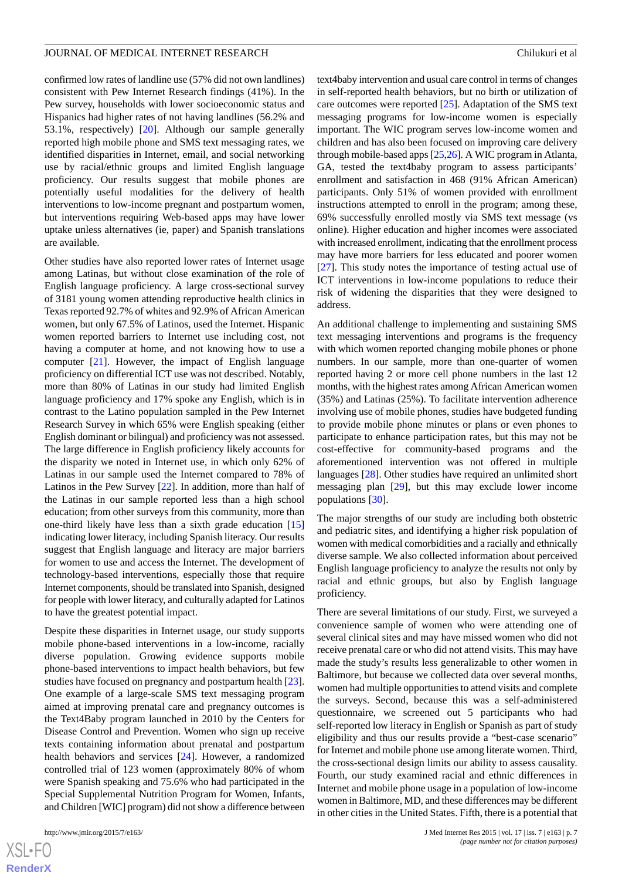confirmed low rates of landline use (57% did not own landlines) consistent with Pew Internet Research findings (41%). In the Pew survey, households with lower socioeconomic status and Hispanics had higher rates of not having landlines (56.2% and 53.1%, respectively) [[20\]](#page-8-2). Although our sample generally reported high mobile phone and SMS text messaging rates, we identified disparities in Internet, email, and social networking use by racial/ethnic groups and limited English language proficiency. Our results suggest that mobile phones are potentially useful modalities for the delivery of health interventions to low-income pregnant and postpartum women, but interventions requiring Web-based apps may have lower uptake unless alternatives (ie, paper) and Spanish translations are available.

Other studies have also reported lower rates of Internet usage among Latinas, but without close examination of the role of English language proficiency. A large cross-sectional survey of 3181 young women attending reproductive health clinics in Texas reported 92.7% of whites and 92.9% of African American women, but only 67.5% of Latinos, used the Internet. Hispanic women reported barriers to Internet use including cost, not having a computer at home, and not knowing how to use a computer [\[21](#page-8-3)]. However, the impact of English language proficiency on differential ICT use was not described. Notably, more than 80% of Latinas in our study had limited English language proficiency and 17% spoke any English, which is in contrast to the Latino population sampled in the Pew Internet Research Survey in which 65% were English speaking (either English dominant or bilingual) and proficiency was not assessed. The large difference in English proficiency likely accounts for the disparity we noted in Internet use, in which only 62% of Latinas in our sample used the Internet compared to 78% of Latinos in the Pew Survey [\[22](#page-8-4)]. In addition, more than half of the Latinas in our sample reported less than a high school education; from other surveys from this community, more than one-third likely have less than a sixth grade education [\[15](#page-7-11)] indicating lower literacy, including Spanish literacy. Our results suggest that English language and literacy are major barriers for women to use and access the Internet. The development of technology-based interventions, especially those that require Internet components, should be translated into Spanish, designed for people with lower literacy, and culturally adapted for Latinos to have the greatest potential impact.

Despite these disparities in Internet usage, our study supports mobile phone-based interventions in a low-income, racially diverse population. Growing evidence supports mobile phone-based interventions to impact health behaviors, but few studies have focused on pregnancy and postpartum health [[23\]](#page-8-5). One example of a large-scale SMS text messaging program aimed at improving prenatal care and pregnancy outcomes is the Text4Baby program launched in 2010 by the Centers for Disease Control and Prevention. Women who sign up receive texts containing information about prenatal and postpartum health behaviors and services [\[24](#page-8-6)]. However, a randomized controlled trial of 123 women (approximately 80% of whom were Spanish speaking and 75.6% who had participated in the Special Supplemental Nutrition Program for Women, Infants, and Children [WIC] program) did not show a difference between

text4baby intervention and usual care control in terms of changes in self-reported health behaviors, but no birth or utilization of care outcomes were reported [[25\]](#page-8-7). Adaptation of the SMS text messaging programs for low-income women is especially important. The WIC program serves low-income women and children and has also been focused on improving care delivery through mobile-based apps [\[25](#page-8-7),[26\]](#page-8-8). A WIC program in Atlanta, GA, tested the text4baby program to assess participants' enrollment and satisfaction in 468 (91% African American) participants. Only 51% of women provided with enrollment instructions attempted to enroll in the program; among these, 69% successfully enrolled mostly via SMS text message (vs online). Higher education and higher incomes were associated with increased enrollment, indicating that the enrollment process may have more barriers for less educated and poorer women [[27\]](#page-8-9). This study notes the importance of testing actual use of ICT interventions in low-income populations to reduce their risk of widening the disparities that they were designed to address.

An additional challenge to implementing and sustaining SMS text messaging interventions and programs is the frequency with which women reported changing mobile phones or phone numbers. In our sample, more than one-quarter of women reported having 2 or more cell phone numbers in the last 12 months, with the highest rates among African American women (35%) and Latinas (25%). To facilitate intervention adherence involving use of mobile phones, studies have budgeted funding to provide mobile phone minutes or plans or even phones to participate to enhance participation rates, but this may not be cost-effective for community-based programs and the aforementioned intervention was not offered in multiple languages [\[28](#page-8-10)]. Other studies have required an unlimited short messaging plan [\[29](#page-8-11)], but this may exclude lower income populations [\[30](#page-8-12)].

The major strengths of our study are including both obstetric and pediatric sites, and identifying a higher risk population of women with medical comorbidities and a racially and ethnically diverse sample. We also collected information about perceived English language proficiency to analyze the results not only by racial and ethnic groups, but also by English language proficiency.

There are several limitations of our study. First, we surveyed a convenience sample of women who were attending one of several clinical sites and may have missed women who did not receive prenatal care or who did not attend visits. This may have made the study's results less generalizable to other women in Baltimore, but because we collected data over several months, women had multiple opportunities to attend visits and complete the surveys. Second, because this was a self-administered questionnaire, we screened out 5 participants who had self-reported low literacy in English or Spanish as part of study eligibility and thus our results provide a "best-case scenario" for Internet and mobile phone use among literate women. Third, the cross-sectional design limits our ability to assess causality. Fourth, our study examined racial and ethnic differences in Internet and mobile phone usage in a population of low-income women in Baltimore, MD, and these differences may be different in other cities in the United States. Fifth, there is a potential that

 $XS$ -FO **[RenderX](http://www.renderx.com/)**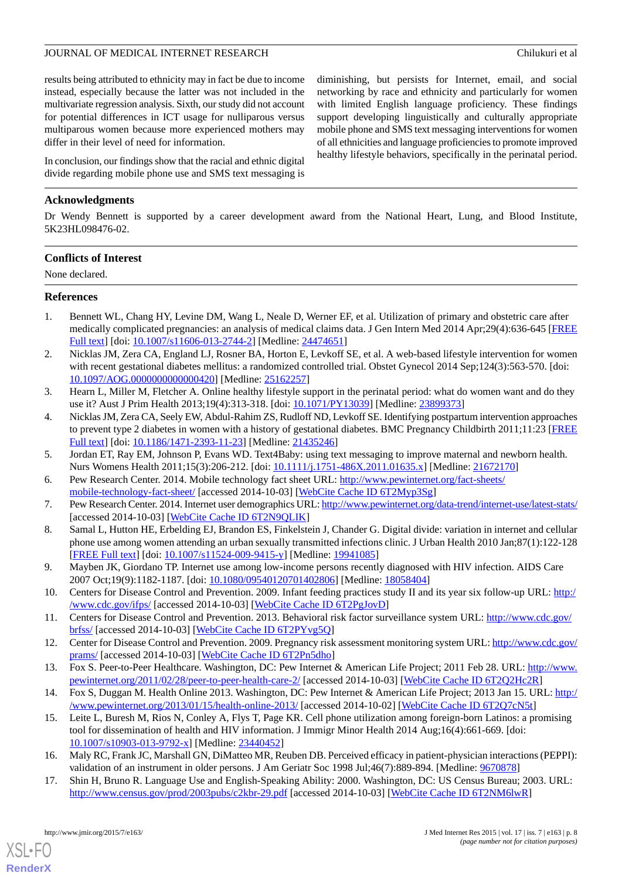diminishing, but persists for Internet, email, and social networking by race and ethnicity and particularly for women with limited English language proficiency. These findings support developing linguistically and culturally appropriate mobile phone and SMS text messaging interventions for women of all ethnicities and language proficiencies to promote improved healthy lifestyle behaviors, specifically in the perinatal period.

results being attributed to ethnicity may in fact be due to income instead, especially because the latter was not included in the multivariate regression analysis. Sixth, our study did not account for potential differences in ICT usage for nulliparous versus multiparous women because more experienced mothers may differ in their level of need for information.

In conclusion, our findings show that the racial and ethnic digital divide regarding mobile phone use and SMS text messaging is

#### **Acknowledgments**

Dr Wendy Bennett is supported by a career development award from the National Heart, Lung, and Blood Institute, 5K23HL098476-02.

#### **Conflicts of Interest**

<span id="page-7-0"></span>None declared.

#### **References**

- <span id="page-7-1"></span>1. Bennett WL, Chang HY, Levine DM, Wang L, Neale D, Werner EF, et al. Utilization of primary and obstetric care after medically complicated pregnancies: an analysis of medical claims data. J Gen Intern Med 2014 Apr;29(4):636-645 [\[FREE](http://europepmc.org/abstract/MED/24474651) [Full text\]](http://europepmc.org/abstract/MED/24474651) [doi: [10.1007/s11606-013-2744-2](http://dx.doi.org/10.1007/s11606-013-2744-2)] [Medline: [24474651](http://www.ncbi.nlm.nih.gov/entrez/query.fcgi?cmd=Retrieve&db=PubMed&list_uids=24474651&dopt=Abstract)]
- <span id="page-7-2"></span>2. Nicklas JM, Zera CA, England LJ, Rosner BA, Horton E, Levkoff SE, et al. A web-based lifestyle intervention for women with recent gestational diabetes mellitus: a randomized controlled trial. Obstet Gynecol 2014 Sep;124(3):563-570. [doi: [10.1097/AOG.0000000000000420](http://dx.doi.org/10.1097/AOG.0000000000000420)] [Medline: [25162257](http://www.ncbi.nlm.nih.gov/entrez/query.fcgi?cmd=Retrieve&db=PubMed&list_uids=25162257&dopt=Abstract)]
- <span id="page-7-3"></span>3. Hearn L, Miller M, Fletcher A. Online healthy lifestyle support in the perinatal period: what do women want and do they use it? Aust J Prim Health 2013;19(4):313-318. [doi: [10.1071/PY13039\]](http://dx.doi.org/10.1071/PY13039) [Medline: [23899373\]](http://www.ncbi.nlm.nih.gov/entrez/query.fcgi?cmd=Retrieve&db=PubMed&list_uids=23899373&dopt=Abstract)
- <span id="page-7-5"></span><span id="page-7-4"></span>4. Nicklas JM, Zera CA, Seely EW, Abdul-Rahim ZS, Rudloff ND, Levkoff SE. Identifying postpartum intervention approaches to prevent type 2 diabetes in women with a history of gestational diabetes. BMC Pregnancy Childbirth 2011;11:23 [\[FREE](http://www.biomedcentral.com/1471-2393/11/23) [Full text\]](http://www.biomedcentral.com/1471-2393/11/23) [doi: [10.1186/1471-2393-11-23](http://dx.doi.org/10.1186/1471-2393-11-23)] [Medline: [21435246](http://www.ncbi.nlm.nih.gov/entrez/query.fcgi?cmd=Retrieve&db=PubMed&list_uids=21435246&dopt=Abstract)]
- <span id="page-7-6"></span>5. Jordan ET, Ray EM, Johnson P, Evans WD. Text4Baby: using text messaging to improve maternal and newborn health. Nurs Womens Health 2011;15(3):206-212. [doi: [10.1111/j.1751-486X.2011.01635.x](http://dx.doi.org/10.1111/j.1751-486X.2011.01635.x)] [Medline: [21672170](http://www.ncbi.nlm.nih.gov/entrez/query.fcgi?cmd=Retrieve&db=PubMed&list_uids=21672170&dopt=Abstract)]
- <span id="page-7-7"></span>6. Pew Research Center. 2014. Mobile technology fact sheet URL: [http://www.pewinternet.org/fact-sheets/](http://www.pewinternet.org/fact-sheets/mobile-technology-fact-sheet/) [mobile-technology-fact-sheet/](http://www.pewinternet.org/fact-sheets/mobile-technology-fact-sheet/) [accessed 2014-10-03] [\[WebCite Cache ID 6T2Myp3Sg](http://www.webcitation.org/

                                    6T2Myp3Sg)]
- <span id="page-7-8"></span>7. Pew Research Center. 2014. Internet user demographics URL:<http://www.pewinternet.org/data-trend/internet-use/latest-stats/> [accessed 2014-10-03] [\[WebCite Cache ID 6T2N9QLIK](http://www.webcitation.org/

                                    6T2N9QLIK)]
- <span id="page-7-9"></span>8. Samal L, Hutton HE, Erbelding EJ, Brandon ES, Finkelstein J, Chander G. Digital divide: variation in internet and cellular phone use among women attending an urban sexually transmitted infections clinic. J Urban Health 2010 Jan;87(1):122-128 [[FREE Full text](http://europepmc.org/abstract/MED/19941085)] [doi: [10.1007/s11524-009-9415-y\]](http://dx.doi.org/10.1007/s11524-009-9415-y) [Medline: [19941085](http://www.ncbi.nlm.nih.gov/entrez/query.fcgi?cmd=Retrieve&db=PubMed&list_uids=19941085&dopt=Abstract)]
- <span id="page-7-14"></span><span id="page-7-13"></span>9. Mayben JK, Giordano TP. Internet use among low-income persons recently diagnosed with HIV infection. AIDS Care 2007 Oct;19(9):1182-1187. [doi: [10.1080/09540120701402806\]](http://dx.doi.org/10.1080/09540120701402806) [Medline: [18058404](http://www.ncbi.nlm.nih.gov/entrez/query.fcgi?cmd=Retrieve&db=PubMed&list_uids=18058404&dopt=Abstract)]
- <span id="page-7-15"></span>10. Centers for Disease Control and Prevention. 2009. Infant feeding practices study II and its year six follow-up URL: [http:/](http://www.cdc.gov/ifps/) [/www.cdc.gov/ifps/](http://www.cdc.gov/ifps/) [accessed 2014-10-03] [[WebCite Cache ID 6T2PgJovD](http://www.webcitation.org/

                                    6T2PgJovD)]
- <span id="page-7-10"></span>11. Centers for Disease Control and Prevention. 2013. Behavioral risk factor surveillance system URL: [http://www.cdc.gov/](http://www.cdc.gov/brfss/) [brfss/](http://www.cdc.gov/brfss/) [accessed 2014-10-03] [[WebCite Cache ID 6T2PYvg5Q\]](http://www.webcitation.org/

                                    6T2PYvg5Q)
- <span id="page-7-11"></span>12. Center for Disease Control and Prevention. 2009. Pregnancy risk assessment monitoring system URL: [http://www.cdc.gov/](http://www.cdc.gov/prams/) [prams/](http://www.cdc.gov/prams/) [accessed 2014-10-03] [[WebCite Cache ID 6T2Pn5dho](http://www.webcitation.org/

                                    6T2Pn5dho)]
- 13. Fox S. Peer-to-Peer Healthcare. Washington, DC: Pew Internet & American Life Project; 2011 Feb 28. URL: [http://www.](http://www.pewinternet.org/2011/02/28/peer-to-peer-health-care-2/) [pewinternet.org/2011/02/28/peer-to-peer-health-care-2/](http://www.pewinternet.org/2011/02/28/peer-to-peer-health-care-2/) [accessed 2014-10-03] [[WebCite Cache ID 6T2Q2Hc2R](http://www.webcitation.org/

                                    6T2Q2Hc2R)]
- <span id="page-7-16"></span><span id="page-7-12"></span>14. Fox S, Duggan M. Health Online 2013. Washington, DC: Pew Internet & American Life Project; 2013 Jan 15. URL: [http:/](http://www.pewinternet.org/2013/01/15/health-online-2013/) [/www.pewinternet.org/2013/01/15/health-online-2013/](http://www.pewinternet.org/2013/01/15/health-online-2013/) [accessed 2014-10-02] [\[WebCite Cache ID 6T2Q7cN5t](http://www.webcitation.org/

                                    6T2Q7cN5t)]
- 15. Leite L, Buresh M, Rios N, Conley A, Flys T, Page KR. Cell phone utilization among foreign-born Latinos: a promising tool for dissemination of health and HIV information. J Immigr Minor Health 2014 Aug;16(4):661-669. [doi: [10.1007/s10903-013-9792-x\]](http://dx.doi.org/10.1007/s10903-013-9792-x) [Medline: [23440452](http://www.ncbi.nlm.nih.gov/entrez/query.fcgi?cmd=Retrieve&db=PubMed&list_uids=23440452&dopt=Abstract)]
- 16. Maly RC, Frank JC, Marshall GN, DiMatteo MR, Reuben DB. Perceived efficacy in patient-physician interactions (PEPPI): validation of an instrument in older persons. J Am Geriatr Soc 1998 Jul;46(7):889-894. [Medline: [9670878\]](http://www.ncbi.nlm.nih.gov/entrez/query.fcgi?cmd=Retrieve&db=PubMed&list_uids=9670878&dopt=Abstract)
- 17. Shin H, Bruno R. Language Use and English-Speaking Ability: 2000. Washington, DC: US Census Bureau; 2003. URL: <http://www.census.gov/prod/2003pubs/c2kbr-29.pdf> [accessed 2014-10-03] [\[WebCite Cache ID 6T2NM6lwR\]](http://www.webcitation.org/

                                    6T2NM6lwR)

[XSL](http://www.w3.org/Style/XSL)•FO **[RenderX](http://www.renderx.com/)**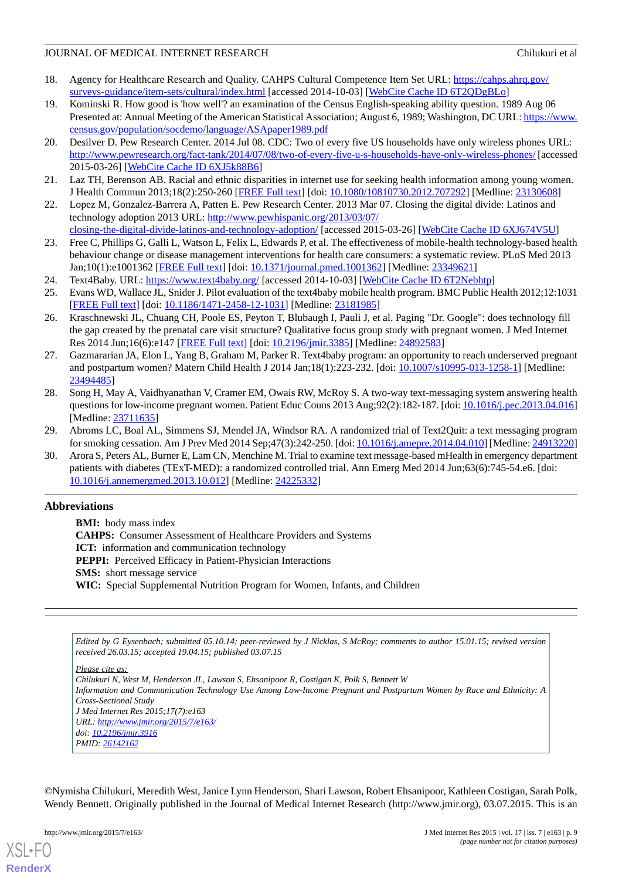- <span id="page-8-0"></span>18. Agency for Healthcare Research and Quality. CAHPS Cultural Competence Item Set URL: [https://cahps.ahrq.gov/](https://cahps.ahrq.gov/surveys-guidance/item-sets/cultural/index.html) [surveys-guidance/item-sets/cultural/index.html](https://cahps.ahrq.gov/surveys-guidance/item-sets/cultural/index.html) [accessed 2014-10-03] [\[WebCite Cache ID 6T2QDgBLo](http://www.webcitation.org/

                                    6T2QDgBLo)]
- <span id="page-8-1"></span>19. Kominski R. How good is 'how well'? an examination of the Census English-speaking ability question. 1989 Aug 06 Presented at: Annual Meeting of the American Statistical Association; August 6, 1989; Washington, DC URL: [https://www.](https://www.census.gov/population/socdemo/language/ASApaper1989.pdf) [census.gov/population/socdemo/language/ASApaper1989.pdf](https://www.census.gov/population/socdemo/language/ASApaper1989.pdf)
- <span id="page-8-2"></span>20. Desilver D. Pew Research Center. 2014 Jul 08. CDC: Two of every five US households have only wireless phones URL: <http://www.pewresearch.org/fact-tank/2014/07/08/two-of-every-five-u-s-households-have-only-wireless-phones/> [accessed 2015-03-26] [\[WebCite Cache ID 6XJ5k88B6\]](http://www.webcitation.org/

                                    6XJ5k88B6)
- <span id="page-8-4"></span><span id="page-8-3"></span>21. Laz TH, Berenson AB. Racial and ethnic disparities in internet use for seeking health information among young women. J Health Commun 2013;18(2):250-260 [\[FREE Full text\]](http://europepmc.org/abstract/MED/23130608) [doi: [10.1080/10810730.2012.707292](http://dx.doi.org/10.1080/10810730.2012.707292)] [Medline: [23130608\]](http://www.ncbi.nlm.nih.gov/entrez/query.fcgi?cmd=Retrieve&db=PubMed&list_uids=23130608&dopt=Abstract)
- 22. Lopez M, Gonzalez-Barrera A, Patten E. Pew Research Center. 2013 Mar 07. Closing the digital divide: Latinos and technology adoption 2013 URL: [http://www.pewhispanic.org/2013/03/07/](http://www.pewhispanic.org/2013/03/07/closing-the-digital-divide-latinos-and-technology-adoption/)
- <span id="page-8-5"></span>[closing-the-digital-divide-latinos-and-technology-adoption/](http://www.pewhispanic.org/2013/03/07/closing-the-digital-divide-latinos-and-technology-adoption/) [accessed 2015-03-26] [[WebCite Cache ID 6XJ674V5U](http://www.webcitation.org/

                                    6XJ674V5U)] 23. Free C, Phillips G, Galli L, Watson L, Felix L, Edwards P, et al. The effectiveness of mobile-health technology-based health
- <span id="page-8-7"></span><span id="page-8-6"></span>behaviour change or disease management interventions for health care consumers: a systematic review. PLoS Med 2013 Jan;10(1):e1001362 [\[FREE Full text\]](http://dx.plos.org/10.1371/journal.pmed.1001362) [doi: [10.1371/journal.pmed.1001362\]](http://dx.doi.org/10.1371/journal.pmed.1001362) [Medline: [23349621\]](http://www.ncbi.nlm.nih.gov/entrez/query.fcgi?cmd=Retrieve&db=PubMed&list_uids=23349621&dopt=Abstract)
- <span id="page-8-8"></span>24. Text4Baby. URL: <https://www.text4baby.org/> [accessed 2014-10-03] [\[WebCite Cache ID 6T2Nebhtp\]](http://www.webcitation.org/

                                    6T2Nebhtp)
- 25. Evans WD, Wallace JL, Snider J. Pilot evaluation of the text4baby mobile health program. BMC Public Health 2012;12:1031 [[FREE Full text](http://www.biomedcentral.com/1471-2458/12/1031)] [doi: [10.1186/1471-2458-12-1031\]](http://dx.doi.org/10.1186/1471-2458-12-1031) [Medline: [23181985](http://www.ncbi.nlm.nih.gov/entrez/query.fcgi?cmd=Retrieve&db=PubMed&list_uids=23181985&dopt=Abstract)]
- <span id="page-8-9"></span>26. Kraschnewski JL, Chuang CH, Poole ES, Peyton T, Blubaugh I, Pauli J, et al. Paging "Dr. Google": does technology fill the gap created by the prenatal care visit structure? Qualitative focus group study with pregnant women. J Med Internet Res 2014 Jun;16(6):e147 [[FREE Full text](http://www.jmir.org/2014/6/e147/)] [doi: [10.2196/jmir.3385](http://dx.doi.org/10.2196/jmir.3385)] [Medline: [24892583](http://www.ncbi.nlm.nih.gov/entrez/query.fcgi?cmd=Retrieve&db=PubMed&list_uids=24892583&dopt=Abstract)]
- <span id="page-8-10"></span>27. Gazmararian JA, Elon L, Yang B, Graham M, Parker R. Text4baby program: an opportunity to reach underserved pregnant and postpartum women? Matern Child Health J 2014 Jan;18(1):223-232. [doi: [10.1007/s10995-013-1258-1\]](http://dx.doi.org/10.1007/s10995-013-1258-1) [Medline: [23494485](http://www.ncbi.nlm.nih.gov/entrez/query.fcgi?cmd=Retrieve&db=PubMed&list_uids=23494485&dopt=Abstract)]
- <span id="page-8-12"></span><span id="page-8-11"></span>28. Song H, May A, Vaidhyanathan V, Cramer EM, Owais RW, McRoy S. A two-way text-messaging system answering health questions for low-income pregnant women. Patient Educ Couns 2013 Aug;92(2):182-187. [doi: [10.1016/j.pec.2013.04.016\]](http://dx.doi.org/10.1016/j.pec.2013.04.016) [Medline: [23711635](http://www.ncbi.nlm.nih.gov/entrez/query.fcgi?cmd=Retrieve&db=PubMed&list_uids=23711635&dopt=Abstract)]
- 29. Abroms LC, Boal AL, Simmens SJ, Mendel JA, Windsor RA. A randomized trial of Text2Quit: a text messaging program for smoking cessation. Am J Prev Med 2014 Sep;47(3):242-250. [doi: [10.1016/j.amepre.2014.04.010](http://dx.doi.org/10.1016/j.amepre.2014.04.010)] [Medline: [24913220\]](http://www.ncbi.nlm.nih.gov/entrez/query.fcgi?cmd=Retrieve&db=PubMed&list_uids=24913220&dopt=Abstract)
- 30. Arora S, Peters AL, Burner E, Lam CN, Menchine M. Trial to examine text message-based mHealth in emergency department patients with diabetes (TExT-MED): a randomized controlled trial. Ann Emerg Med 2014 Jun;63(6):745-54.e6. [doi: [10.1016/j.annemergmed.2013.10.012](http://dx.doi.org/10.1016/j.annemergmed.2013.10.012)] [Medline: [24225332\]](http://www.ncbi.nlm.nih.gov/entrez/query.fcgi?cmd=Retrieve&db=PubMed&list_uids=24225332&dopt=Abstract)

# **Abbreviations**

**BMI:** body mass index **CAHPS:** Consumer Assessment of Healthcare Providers and Systems **ICT:** information and communication technology **PEPPI:** Perceived Efficacy in Patient-Physician Interactions **SMS:** short message service **WIC:** Special Supplemental Nutrition Program for Women, Infants, and Children

*Edited by G Eysenbach; submitted 05.10.14; peer-reviewed by J Nicklas, S McRoy; comments to author 15.01.15; revised version received 26.03.15; accepted 19.04.15; published 03.07.15*

*Please cite as:*

*Chilukuri N, West M, Henderson JL, Lawson S, Ehsanipoor R, Costigan K, Polk S, Bennett W Information and Communication Technology Use Among Low-Income Pregnant and Postpartum Women by Race and Ethnicity: A Cross-Sectional Study J Med Internet Res 2015;17(7):e163 URL: <http://www.jmir.org/2015/7/e163/> doi: [10.2196/jmir.3916](http://dx.doi.org/10.2196/jmir.3916) PMID: [26142162](http://www.ncbi.nlm.nih.gov/entrez/query.fcgi?cmd=Retrieve&db=PubMed&list_uids=26142162&dopt=Abstract)*

©Nymisha Chilukuri, Meredith West, Janice Lynn Henderson, Shari Lawson, Robert Ehsanipoor, Kathleen Costigan, Sarah Polk, Wendy Bennett. Originally published in the Journal of Medical Internet Research (http://www.jmir.org), 03.07.2015. This is an

[XSL](http://www.w3.org/Style/XSL)•FO **[RenderX](http://www.renderx.com/)**